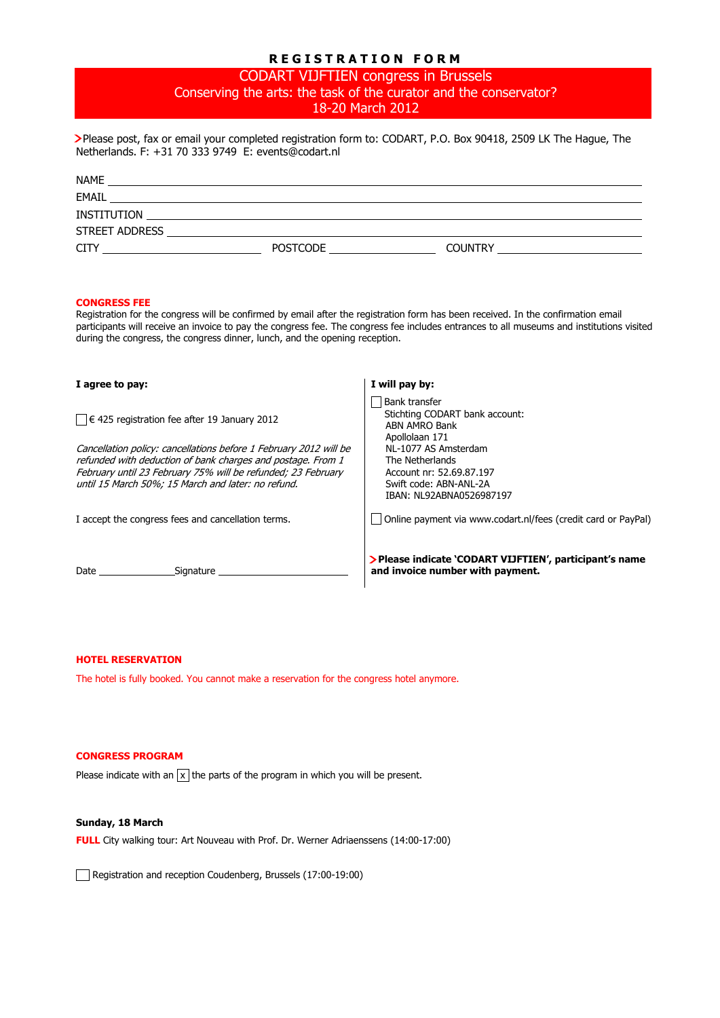# **R E G I S T R A T I O N F O R M**

CODART VIJFTIEN congress in Brussels Conserving the arts: the task of the curator and the conservator? 18-20 March 2012

 Please post, fax or email your completed registration form to: CODART, P.O. Box 90418, 2509 LK The Hague, The Netherlands. F: +31 70 333 9749 E: events@codart.nl

| <b>NAME</b>                                                        |          |                                                                   |
|--------------------------------------------------------------------|----------|-------------------------------------------------------------------|
| EMAIL<br><u> 1989 - John Stone, amerikansk politiker (d. 1989)</u> |          |                                                                   |
| <b>INSTITUTION</b>                                                 |          |                                                                   |
| STREET ADDRESS                                                     |          |                                                                   |
| CIT                                                                | POSTCODE | <b>COUNTRY</b><br>the contract of the contract of the contract of |

## **CONGRESS FEE**

Registration for the congress will be confirmed by email after the registration form has been received. In the confirmation email participants will receive an invoice to pay the congress fee. The congress fee includes entrances to all museums and institutions visited during the congress, the congress dinner, lunch, and the opening reception.

| I agree to pay:                                                                                                                                                                                                                                        | I will pay by:                                                                                                            |
|--------------------------------------------------------------------------------------------------------------------------------------------------------------------------------------------------------------------------------------------------------|---------------------------------------------------------------------------------------------------------------------------|
| $\vert$ $\vert$ $\in$ 425 registration fee after 19 January 2012                                                                                                                                                                                       | <b>Bank transfer</b><br>Stichting CODART bank account:<br>ABN AMRO Bank<br>Apollolaan 171                                 |
| Cancellation policy: cancellations before 1 February 2012 will be<br>refunded with deduction of bank charges and postage. From 1<br>February until 23 February 75% will be refunded; 23 February<br>until 15 March 50%; 15 March and later: no refund. | NL-1077 AS Amsterdam<br>The Netherlands<br>Account nr: 52.69.87.197<br>Swift code: ABN-ANL-2A<br>IBAN: NL92ABNA0526987197 |
| I accept the congress fees and cancellation terms.                                                                                                                                                                                                     | Online payment via www.codart.nl/fees (credit card or PayPal)                                                             |
| Date<br>Sianature                                                                                                                                                                                                                                      | > Please indicate 'CODART VIJFTIEN', participant's name<br>and invoice number with payment.                               |

## **HOTEL RESERVATION**

The hotel is fully booked. You cannot make a reservation for the congress hotel anymore.

## **CONGRESS PROGRAM**

Please indicate with an  $\overline{x}$  the parts of the program in which you will be present.

#### **Sunday, 18 March**

**FULL** City walking tour: Art Nouveau with Prof. Dr. Werner Adriaenssens (14:00-17:00)

Registration and reception Coudenberg, Brussels (17:00-19:00)